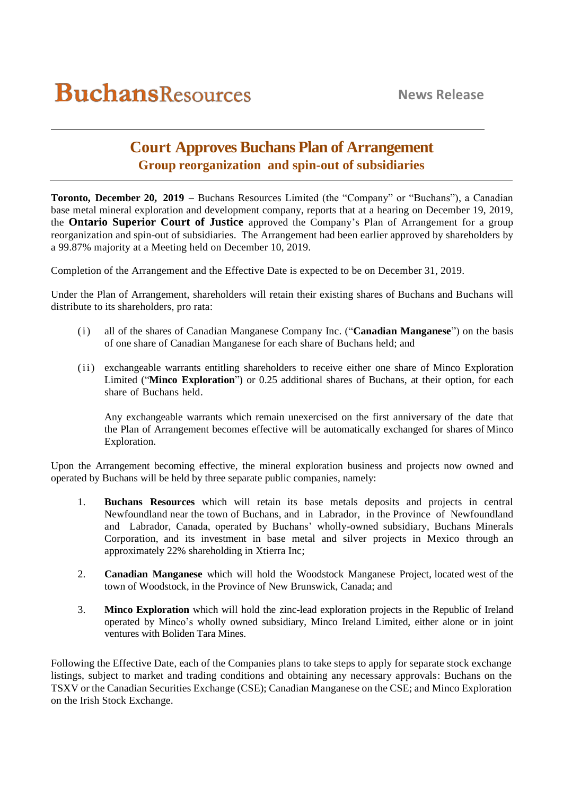## **Court Approves Buchans Plan of Arrangement Group reorganization and spin-out of subsidiaries**

**Toronto, December 20, 2019 –** Buchans Resources Limited (the "Company" or "Buchans"), a Canadian base metal mineral exploration and development company, reports that at a hearing on December 19, 2019, the **Ontario Superior Court of Justice** approved the Company's Plan of Arrangement for a group reorganization and spin-out of subsidiaries. The Arrangement had been earlier approved by shareholders by a 99.87% majority at a Meeting held on December 10, 2019.

Completion of the Arrangement and the Effective Date is expected to be on December 31, 2019.

Under the Plan of Arrangement, shareholders will retain their existing shares of Buchans and Buchans will distribute to its shareholders, pro rata:

- (i) all of the shares of Canadian Manganese Company Inc. ("**Canadian Manganese**") on the basis of one share of Canadian Manganese for each share of Buchans held; and
- (ii) exchangeable warrants entitling shareholders to receive either one share of Minco Exploration Limited ("**Minco Exploration**") or 0.25 additional shares of Buchans, at their option, for each share of Buchans held.

Any exchangeable warrants which remain unexercised on the first anniversary of the date that the Plan of Arrangement becomes effective will be automatically exchanged for shares of Minco Exploration.

Upon the Arrangement becoming effective, the mineral exploration business and projects now owned and operated by Buchans will be held by three separate public companies, namely:

- 1. **Buchans Resources** which will retain its base metals deposits and projects in central Newfoundland near the town of Buchans, and in Labrador, in the Province of Newfoundland and Labrador, Canada, operated by Buchans' wholly-owned subsidiary, Buchans Minerals Corporation, and its investment in base metal and silver projects in Mexico through an approximately 22% shareholding in Xtierra Inc;
- 2. **Canadian Manganese** which will hold the Woodstock Manganese Project, located west of the town of Woodstock, in the Province of New Brunswick, Canada; and
- 3. **Minco Exploration** which will hold the zinc-lead exploration projects in the Republic of Ireland operated by Minco's wholly owned subsidiary, Minco Ireland Limited, either alone or in joint ventures with Boliden Tara Mines.

Following the Effective Date, each of the Companies plans to take steps to apply for separate stock exchange listings, subject to market and trading conditions and obtaining any necessary approvals: Buchans on the TSXV or the Canadian Securities Exchange (CSE); Canadian Manganese on the CSE; and Minco Exploration on the Irish Stock Exchange.